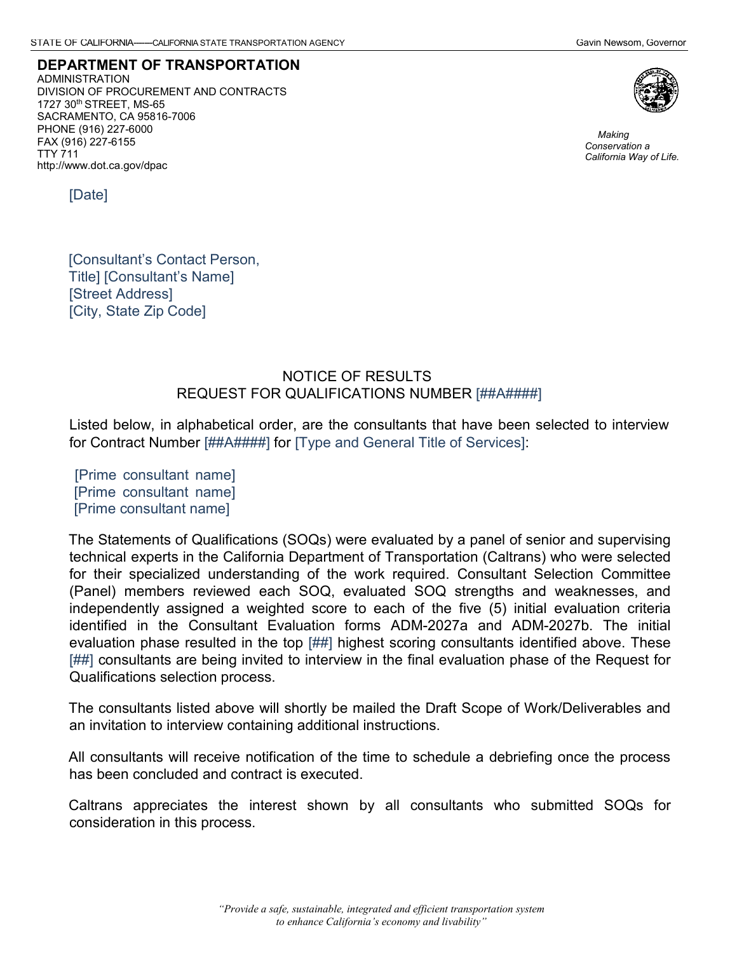**DEPARTMENT OF TRANSPORTATION** ADMINISTRATION DIVISION OF PROCUREMENT AND CONTRACTS 1727 30th STREET, MS-65 SACRAMENTO, CA 95816-7006 PHONE (916) 227-6000 FAX (916) 227-6155 TTY 711 <http://www.dot.ca.gov/dpac>



*Making Conservation a California Way of Life.*

[Date]

[Consultant's Contact Person, Title] [Consultant's Name] [Street Address] [City, State Zip Code]

## NOTICE OF RESULTS REQUEST FOR QUALIFICATIONS NUMBER [##A####]

Listed below, in alphabetical order, are the consultants that have been selected to interview for Contract Number [##A####] for [Type and General Title of Services]:

[Prime consultant name] [Prime consultant name] [Prime consultant name]

The Statements of Qualifications (SOQs) were evaluated by a panel of senior and supervising technical experts in the California Department of Transportation (Caltrans) who were selected for their specialized understanding of the work required. Consultant Selection Committee (Panel) members reviewed each SOQ, evaluated SOQ strengths and weaknesses, and independently assigned a weighted score to each of the five (5) initial evaluation criteria identified in the Consultant Evaluation forms ADM-2027a and ADM-2027b. The initial evaluation phase resulted in the top [##] highest scoring consultants identified above. These [##] consultants are being invited to interview in the final evaluation phase of the Request for Qualifications selection process.

The consultants listed above will shortly be mailed the Draft Scope of Work/Deliverables and an invitation to interview containing additional instructions.

All consultants will receive notification of the time to schedule a debriefing once the process has been concluded and contract is executed.

Caltrans appreciates the interest shown by all consultants who submitted SOQs for consideration in this process.